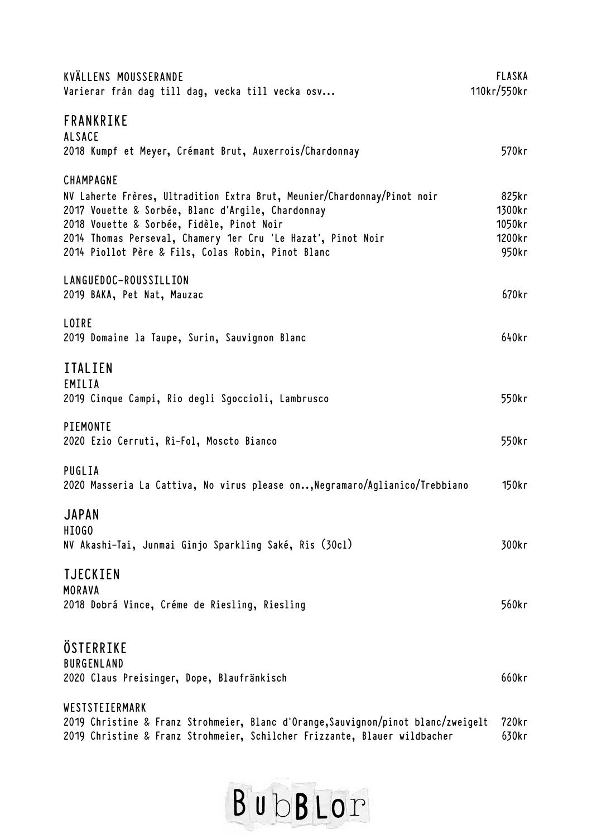| KVÄLLENS MOUSSERANDE<br>Varierar från dag till dag, vecka till vecka osv         | <b>FLASKA</b><br>110kr/550kr |
|----------------------------------------------------------------------------------|------------------------------|
| FRANKRIKE<br><b>ALSACE</b>                                                       |                              |
| 2018 Kumpf et Meyer, Crémant Brut, Auxerrois/Chardonnay                          | 570 <sub>kr</sub>            |
| CHAMPAGNE                                                                        |                              |
| NV Laherte Frères, Ultradition Extra Brut, Meunier/Chardonnay/Pinot noir         | 825kr                        |
| 2017 Vouette & Sorbée, Blanc d'Argile, Chardonnay                                | 1300kr                       |
| 2018 Vouette & Sorbée, Fidèle, Pinot Noir                                        | 1050kr                       |
| 2014 Thomas Perseval, Chamery 1er Cru 'Le Hazat', Pinot Noir                     | 1200kr                       |
| 2014 Piollot Père & Fils, Colas Robin, Pinot Blanc                               | 950kr                        |
| LANGUEDOC-ROUSSILLION                                                            |                              |
| 2019 BAKA, Pet Nat, Mauzac                                                       | 670kr                        |
| LOIRE                                                                            |                              |
| 2019 Domaine la Taupe, Surin, Sauvignon Blanc                                    | 640kr                        |
| <b>ITALIEN</b>                                                                   |                              |
| EMILIA                                                                           |                              |
| 2019 Cinque Campi, Rio degli Sgoccioli, Lambrusco                                | 550kr                        |
| PIEMONTE                                                                         |                              |
| 2020 Ezio Cerruti, Ri-Fol, Moscto Bianco                                         | 550kr                        |
| PUGLIA                                                                           |                              |
| 2020 Masseria La Cattiva, No virus please on,Negramaro/Aglianico/Trebbiano       | 150kr                        |
| <b>JAPAN</b>                                                                     |                              |
| HI0GO                                                                            |                              |
| NV Akashi-Tai, Junmai Ginjo Sparkling Saké, Ris (30cl)                           | 300kr                        |
| <b>TJECKIEN</b>                                                                  |                              |
| MORAVA                                                                           |                              |
| 2018 Dobrá Vince, Créme de Riesling, Riesling                                    | 560kr                        |
|                                                                                  |                              |
| ÖSTERRIKE                                                                        |                              |
| <b>BURGENLAND</b>                                                                |                              |
| 2020 Claus Preisinger, Dope, Blaufränkisch                                       | 660kr                        |
| WESTSTEIERMARK                                                                   |                              |
| 2019 Christine & Franz Strohmeier, Blanc d'Orange,Sauvignon/pinot blanc/zweigelt | 720kr                        |
| 2019 Christine & Franz Strohmeier, Schilcher Frizzante, Blauer wildbacher        | 630kr                        |

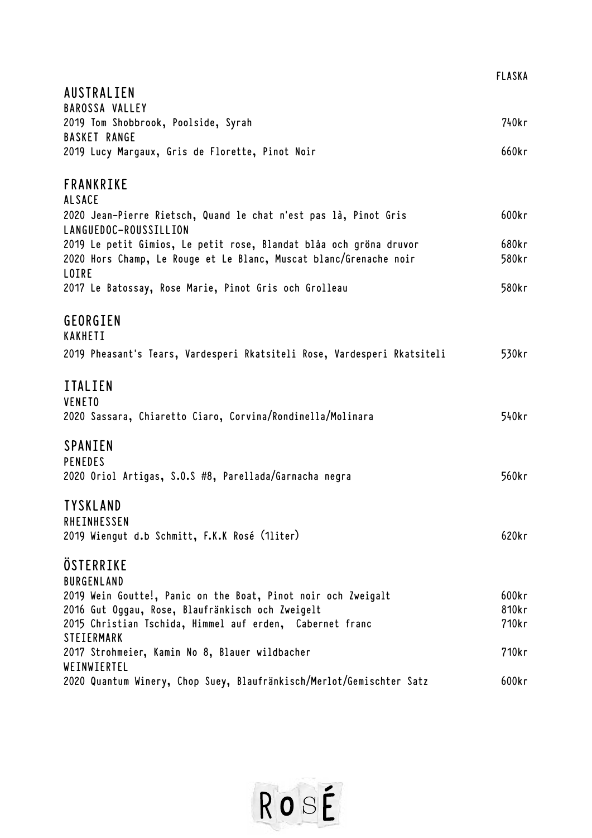|                                                                                   | <b>FLASKA</b> |
|-----------------------------------------------------------------------------------|---------------|
| AUSTRALIEN                                                                        |               |
| <b>BAROSSA VALLEY</b>                                                             |               |
| 2019 Tom Shobbrook, Poolside, Syrah                                               | 740kr         |
| <b>BASKET RANGE</b>                                                               |               |
| 2019 Lucy Margaux, Gris de Florette, Pinot Noir                                   | 660kr         |
| FRANKRIKE                                                                         |               |
| <b>ALSACE</b>                                                                     |               |
| 2020 Jean-Pierre Rietsch, Quand le chat n'est pas là, Pinot Gris                  | 600kr         |
| LANGUEDOC-ROUSSILLION                                                             |               |
| 2019 Le petit Gimios, Le petit rose, Blandat blåa och gröna druvor                | 680kr         |
| 2020 Hors Champ, Le Rouge et Le Blanc, Muscat blanc/Grenache noir<br><b>LOIRE</b> | 580kr         |
| 2017 Le Batossay, Rose Marie, Pinot Gris och Grolleau                             | 580kr         |
| GEORGIEN                                                                          |               |
| KAKHETI                                                                           |               |
| 2019 Pheasant's Tears, Vardesperi Rkatsiteli Rose, Vardesperi Rkatsiteli          | 530kr         |
| <b>ITALIEN</b>                                                                    |               |
| <b>VENETO</b>                                                                     |               |
| 2020 Sassara, Chiaretto Ciaro, Corvina/Rondinella/Molinara                        | 540kr         |
| SPANIEN                                                                           |               |
| <b>PENEDES</b>                                                                    |               |
| 2020 Oriol Artigas, S.O.S #8, Parellada/Garnacha negra                            | 560kr         |
| <b>TYSKLAND</b>                                                                   |               |
| RHEINHESSEN                                                                       |               |
| 2019 Wiengut d.b Schmitt, F.K.K Rosé (1liter)                                     | 620kr         |
| ÖSTERRIKE                                                                         |               |
| <b>BURGENLAND</b>                                                                 |               |
| 2019 Wein Goutte!, Panic on the Boat, Pinot noir och Zweigalt                     | 600kr         |
| 2016 Gut Oggau, Rose, Blaufränkisch och Zweigelt                                  | 810kr         |
| 2015 Christian Tschida, Himmel auf erden, Cabernet franc<br><b>STEIERMARK</b>     | 710kr         |
| 2017 Strohmeier, Kamin No 8, Blauer wildbacher                                    | 710kr         |
| WEINWIERTEL                                                                       |               |
| 2020 Quantum Winery, Chop Suey, Blaufränkisch/Merlot/Gemischter Satz              | 600kr         |

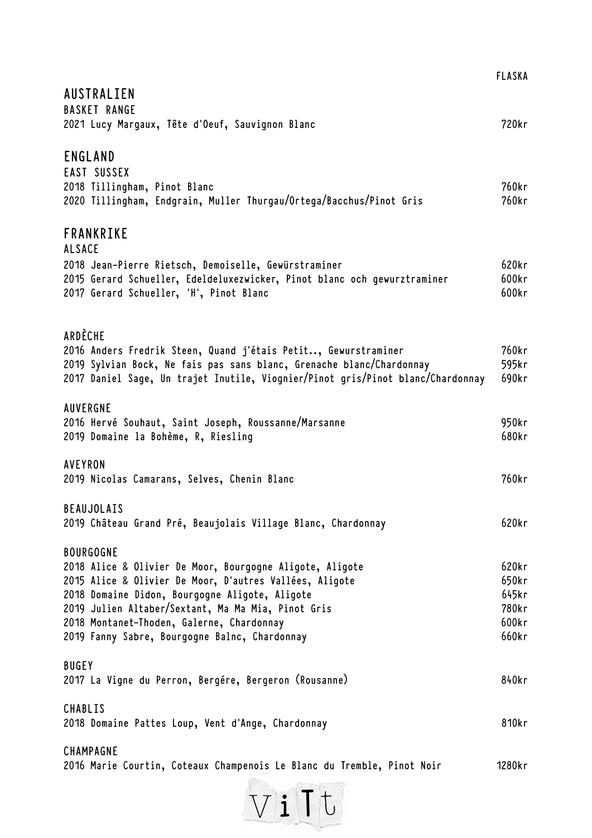|                                                                                                      | <b>FLASKA</b>  |
|------------------------------------------------------------------------------------------------------|----------------|
| AUSTRALIEN                                                                                           |                |
| <b>BASKET RANGE</b>                                                                                  |                |
| 2021 Lucy Margaux, Tête d'Oeuf, Sauvignon Blanc                                                      | 720kr          |
| ENGLAND                                                                                              |                |
| EAST SUSSEX                                                                                          |                |
| 2018 Tillingham, Pinot Blanc                                                                         | 760kr          |
| 2020 Tillingham, Endgrain, Muller Thurgau/Ortega/Bacchus/Pinot Gris                                  | 760kr          |
| <b>FRANKRIKE</b>                                                                                     |                |
| <b>ALSACE</b>                                                                                        |                |
| 2018 Jean-Pierre Rietsch, Demoiselle, Gewürstraminer                                                 | 620kr          |
| 2015 Gerard Schueller, Edeldeluxezwicker, Pinot blanc och gewurztraminer                             | 600kr          |
| 2017 Gerard Schueller, 'H', Pinot Blanc                                                              | 600kr          |
| ARDÈCHE                                                                                              |                |
| 2016 Anders Fredrik Steen, Quand j'étais Petit, Gewurstraminer                                       | 760kr          |
| 2019 Sylvian Bock, Ne fais pas sans blanc, Grenache blanc/Chardonnay                                 | 595kr          |
| 2017 Daniel Sage, Un trajet Inutile, Viognier/Pinot gris/Pinot blanc/Chardonnay                      | 690kr          |
| AUVERGNE                                                                                             |                |
| 2016 Hervé Souhaut, Saint Joseph, Roussanne/Marsanne                                                 | 950kr          |
| 2019 Domaine la Bohème, R, Riesling                                                                  | 680kr          |
| <b>AVEYRON</b>                                                                                       |                |
| 2019 Nicolas Camarans, Selves, Chenin Blanc                                                          | 760kr          |
| <b>BEAUJOLAIS</b>                                                                                    |                |
| 2019 Château Grand Pré, Beaujolais Village Blanc, Chardonnay                                         | 620kr          |
| <b>BOURGOGNE</b>                                                                                     |                |
| 2018 Alice & Olivier De Moor, Bourgogne Aligote, Aligote                                             | 620kr          |
| 2015 Alice & Olivier De Moor, D'autres Vallées, Aligote                                              | 650kr          |
| 2018 Domaine Didon, Bourgogne Aligote, Aligote<br>2019 Julien Altaber/Sextant, Ma Ma Mia, Pinot Gris | 645kr<br>780kr |
| 2018 Montanet-Thoden, Galerne, Chardonnay                                                            | 600kr          |
| 2019 Fanny Sabre, Bourgogne Balnc, Chardonnay                                                        | 660kr          |
| <b>BUGEY</b>                                                                                         |                |
| 2017 La Vigne du Perron, Bergére, Bergeron (Rousanne)                                                | 840kr          |
| CHABLIS                                                                                              |                |
| 2018 Domaine Pattes Loup, Vent d'Ange, Chardonnay                                                    | 810kr          |
| CHAMPAGNE                                                                                            |                |
| 2016 Marie Courtin, Coteaux Champenois Le Blanc du Tremble, Pinot Noir                               | 1280kr         |

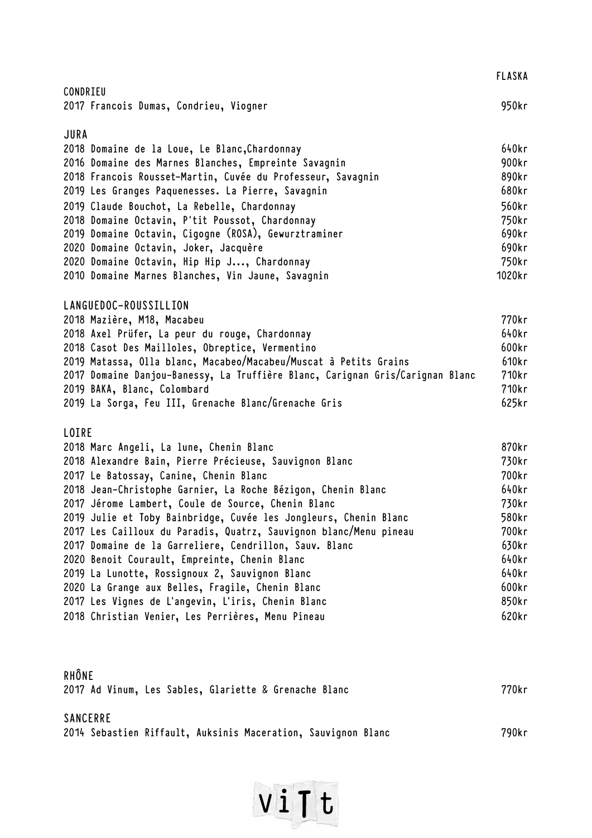|                                                                               | <b>FLASKA</b> |
|-------------------------------------------------------------------------------|---------------|
| CONDRIEU                                                                      |               |
| 2017 Francois Dumas, Condrieu, Viogner                                        | 950kr         |
| JURA                                                                          |               |
| 2018 Domaine de la Loue, Le Blanc, Chardonnay                                 | 640kr         |
| 2016 Domaine des Marnes Blanches, Empreinte Savagnin                          | 900kr         |
| 2018 Francois Rousset-Martin, Cuvée du Professeur, Savagnin                   | 890kr         |
| 2019 Les Granges Paquenesses. La Pierre, Savagnin                             | 680kr         |
| 2019 Claude Bouchot, La Rebelle, Chardonnay                                   | 560kr         |
| 2018 Domaine Octavin, P'tit Poussot, Chardonnay                               | 750kr         |
| 2019 Domaine Octavin, Cigogne (ROSA), Gewurztraminer                          | 690kr         |
| 2020 Domaine Octavin, Joker, Jacquère                                         | 690kr         |
| 2020 Domaine Octavin, Hip Hip J, Chardonnay                                   | 750kr         |
| 2010 Domaine Marnes Blanches, Vin Jaune, Savagnin                             | 1020kr        |
| LANGUEDOC-ROUSSILLION                                                         |               |
| 2018 Mazière, M18, Macabeu                                                    | 770kr         |
| 2018 Axel Prüfer, La peur du rouge, Chardonnay                                | 640kr         |
| 2018 Casot Des Mailloles, Obreptice, Vermentino                               | 600kr         |
| 2019 Matassa, Olla blanc, Macabeo/Macabeu/Muscat à Petits Grains              | 610kr         |
| 2017 Domaine Danjou-Banessy, La Truffière Blanc, Carignan Gris/Carignan Blanc | 710kr         |
| 2019 BAKA, Blanc, Colombard                                                   | 710kr         |
| 2019 La Sorga, Feu III, Grenache Blanc/Grenache Gris                          | 625kr         |
| LOIRE                                                                         |               |
| 2018 Marc Angeli, La lune, Chenin Blanc                                       | 870kr         |
| 2018 Alexandre Bain, Pierre Précieuse, Sauvignon Blanc                        | 730kr         |
| 2017 Le Batossay, Canine, Chenin Blanc                                        | 700kr         |
| 2018 Jean-Christophe Garnier, La Roche Bézigon, Chenin Blanc                  | 640kr         |
| 2017 Jérome Lambert, Coule de Source, Chenin Blanc                            | 730kr         |
| 2019 Julie et Toby Bainbridge, Cuvée les Jongleurs, Chenin Blanc              | 580kr         |
| 2017 Les Cailloux du Paradis, Quatrz, Sauvignon blanc/Menu pineau             | 700kr         |
| 2017 Domaine de la Garreliere, Cendrillon, Sauv. Blanc                        | 630kr         |
| 2020 Benoit Courault, Empreinte, Chenin Blanc                                 | 640kr         |
| 2019 La Lunotte, Rossignoux 2, Sauvignon Blanc                                | 640kr         |
| 2020 La Grange aux Belles, Fragile, Chenin Blanc                              | 600kr         |
| 2017 Les Vignes de L'angevin, L'iris, Chenin Blanc                            | 850kr         |
| 2018 Christian Venier, Les Perrières, Menu Pineau                             | 620kr         |
|                                                                               |               |
| RHÔNE                                                                         |               |
| 2017 Ad Vinum, Les Sables, Glariette & Grenache Blanc                         | 770kr         |
| <b>SANCERRE</b>                                                               |               |
| 2014 Sebastien Riffault, Auksinis Maceration, Sauvignon Blanc                 | 790kr         |

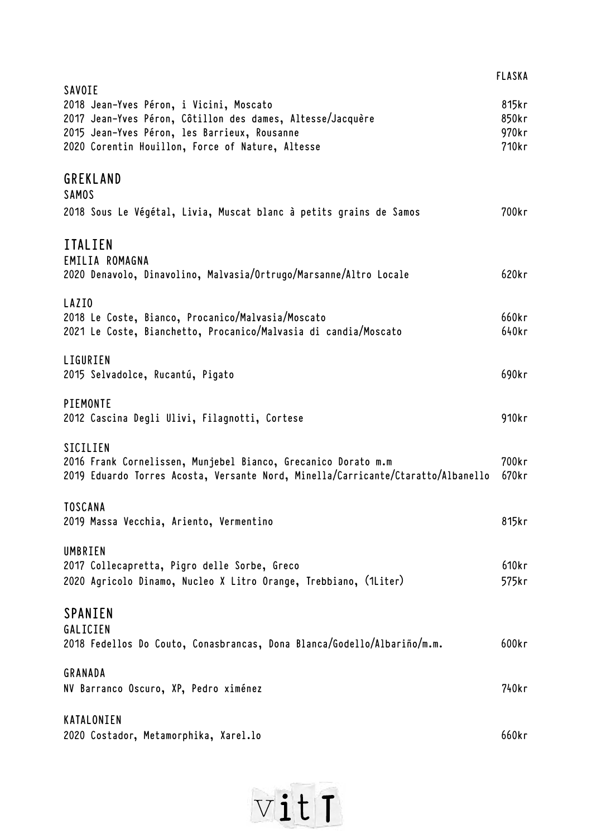|                                                                                                                                                                 | <b>FLASKA</b>           |
|-----------------------------------------------------------------------------------------------------------------------------------------------------------------|-------------------------|
| SAVOIE<br>2018 Jean-Yves Péron, i Vicini, Moscato<br>2017 Jean-Yves Péron, Côtillon des dames, Altesse/Jacquère<br>2015 Jean-Yves Péron, les Barrieux, Rousanne | 815kr<br>850kr<br>970kr |
| 2020 Corentin Houillon, Force of Nature, Altesse<br><b>GREKLAND</b>                                                                                             | 710kr                   |
| <b>SAMOS</b><br>2018 Sous Le Végétal, Livia, Muscat blanc à petits grains de Samos                                                                              | 700kr                   |
| <b>ITALIEN</b><br>EMILIA ROMAGNA                                                                                                                                |                         |
| 2020 Denavolo, Dinavolino, Malvasia/Ortrugo/Marsanne/Altro Locale                                                                                               | 620kr                   |
| LAZIO<br>2018 Le Coste, Bianco, Procanico/Malvasia/Moscato<br>2021 Le Coste, Bianchetto, Procanico/Malvasia di candia/Moscato                                   | 660kr<br>640kr          |
| LIGURIEN<br>2015 Selvadolce, Rucantú, Pigato                                                                                                                    | 690kr                   |
| PIEMONTE<br>2012 Cascina Degli Ulivi, Filagnotti, Cortese                                                                                                       | 910kr                   |
| SICILIEN<br>2016 Frank Cornelissen, Munjebel Bianco, Grecanico Dorato m.m<br>2019 Eduardo Torres Acosta, Versante Nord, Minella/Carricante/Ctaratto/Albanello   | 700kr<br>670kr          |
| TOSCANA<br>2019 Massa Vecchia, Ariento, Vermentino                                                                                                              | 815kr                   |
| UMBRIEN<br>2017 Collecapretta, Pigro delle Sorbe, Greco<br>2020 Agricolo Dinamo, Nucleo X Litro Orange, Trebbiano, (1Liter)                                     | 610kr<br>575kr          |
| SPANIEN<br>GALICIEN<br>2018 Fedellos Do Couto, Conasbrancas, Dona Blanca/Godello/Albariño/m.m.                                                                  | 600kr                   |
| GRANADA                                                                                                                                                         |                         |
| NV Barranco Oscuro, XP, Pedro ximénez                                                                                                                           | 740kr                   |
| KATALONIEN<br>2020 Costador, Metamorphika, Xarel.lo                                                                                                             | 660kr                   |
|                                                                                                                                                                 |                         |

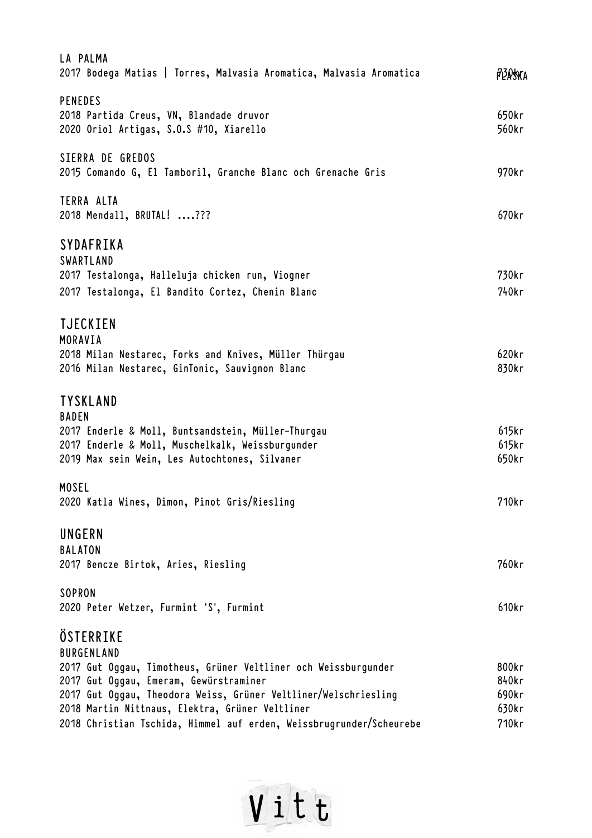| LA PALMA<br>2017 Bodega Matias   Torres, Malvasia Aromatica, Malvasia Aromatica                                                                                                            | p30skra                 |
|--------------------------------------------------------------------------------------------------------------------------------------------------------------------------------------------|-------------------------|
| <b>PENEDES</b><br>2018 Partida Creus, VN, Blandade druvor<br>2020 Oriol Artigas, S.O.S #10, Xiarello                                                                                       | 650kr<br>560kr          |
| SIERRA DE GREDOS<br>2015 Comando G, El Tamboril, Granche Blanc och Grenache Gris                                                                                                           | 970kr                   |
| TERRA ALTA<br>2018 Mendall, BRUTAL! ???                                                                                                                                                    | 670kr                   |
| SYDAFRIKA<br>SWARTLAND<br>2017 Testalonga, Halleluja chicken run, Viogner                                                                                                                  | 730kr                   |
| 2017 Testalonga, El Bandito Cortez, Chenin Blanc                                                                                                                                           | 740kr                   |
| <b>TJECKIEN</b><br>MORAVIA<br>2018 Milan Nestarec, Forks and Knives, Müller Thürgau<br>2016 Milan Nestarec, GinTonic, Sauvignon Blanc                                                      | 620kr<br>830kr          |
| <b>TYSKLAND</b><br><b>BADEN</b><br>2017 Enderle & Moll, Buntsandstein, Müller-Thurgau<br>2017 Enderle & Moll, Muschelkalk, Weissburgunder<br>2019 Max sein Wein, Les Autochtones, Silvaner | 615kr<br>615kr<br>650kr |
| <b>MOSEL</b><br>2020 Katla Wines, Dimon, Pinot Gris/Riesling                                                                                                                               | 710kr                   |
| UNGERN<br><b>BALATON</b><br>2017 Bencze Birtok, Aries, Riesling                                                                                                                            | 760kr                   |
| SOPRON<br>2020 Peter Wetzer, Furmint 'S', Furmint                                                                                                                                          | 610kr                   |
| ÖSTERRIKE<br><b>BURGENLAND</b>                                                                                                                                                             |                         |
| 2017 Gut Oggau, Timotheus, Grüner Veltliner och Weissburgunder                                                                                                                             | 800kr                   |
| 2017 Gut Oggau, Emeram, Gewürstraminer                                                                                                                                                     | 840kr                   |
| 2017 Gut Oggau, Theodora Weiss, Grüner Veltliner/Welschriesling<br>2018 Martin Nittnaus, Elektra, Grüner Veltliner                                                                         | 690kr<br>630kr          |
| 2018 Christian Tschida, Himmel auf erden, Weissbrugrunder/Scheurebe                                                                                                                        | 710kr                   |
|                                                                                                                                                                                            |                         |

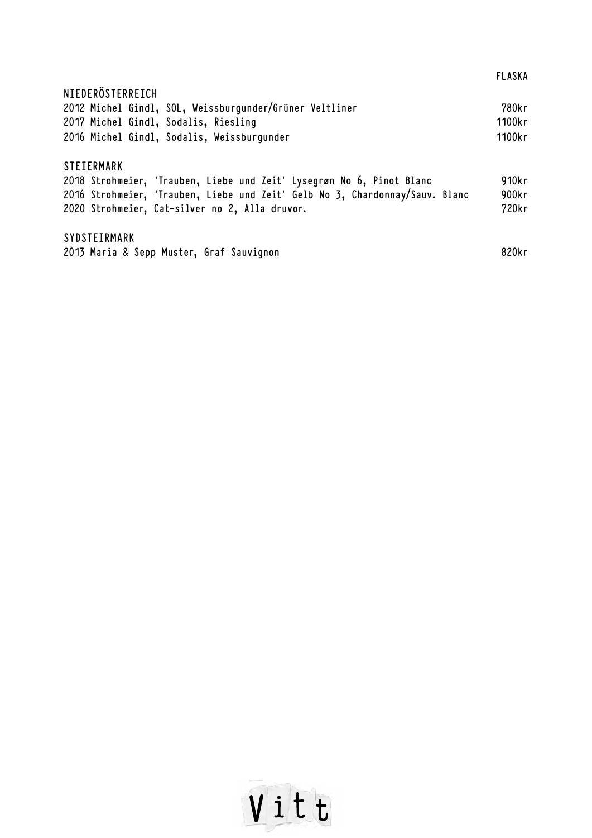|                                                                              | <b>FLASKA</b> |
|------------------------------------------------------------------------------|---------------|
| NIEDERÖSTERREICH                                                             |               |
| 2012 Michel Gindl, SOL, Weissburgunder/Grüner Veltliner                      | 780kr         |
| 2017 Michel Gindl, Sodalis, Riesling                                         | 1100kr        |
| 2016 Michel Gindl, Sodalis, Weissburgunder                                   | 1100kr        |
| <b>STEIERMARK</b>                                                            |               |
| 2018 Strohmeier, 'Trauben, Liebe und Zeit' Lysegrøn No 6, Pinot Blanc        | 910kr         |
| 2016 Strohmeier, 'Trauben, Liebe und Zeit' Gelb No 3, Chardonnay/Sauv. Blanc | 900kr         |
| 2020 Strohmeier, Cat-silver no 2, Alla druvor.                               | 720kr         |
| SYDSTEIRMARK                                                                 |               |
| 2013 Maria & Sepp Muster, Graf Sauvignon                                     | 820kr         |

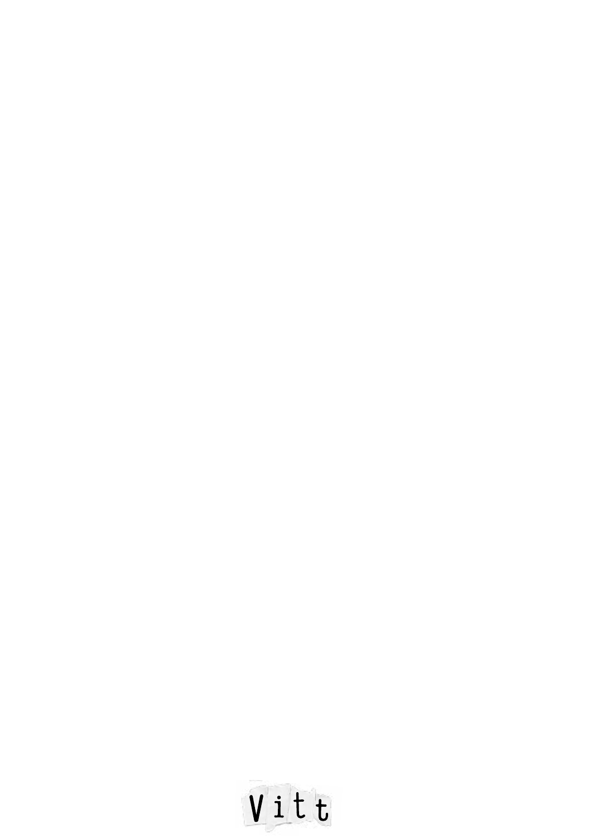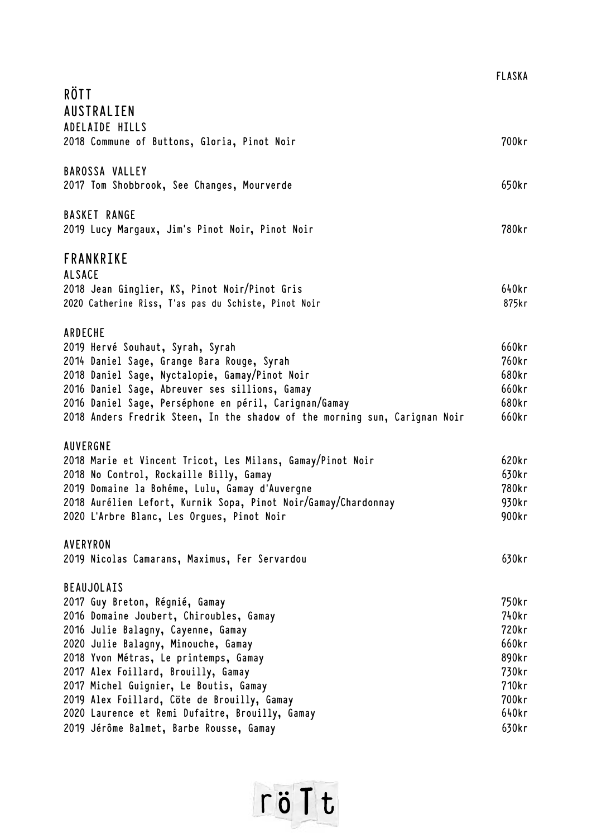|               |                                                                            | <b>FLASKA</b> |
|---------------|----------------------------------------------------------------------------|---------------|
| RÖTT          |                                                                            |               |
|               | AUSTRALIEN                                                                 |               |
|               | ADELAIDE HILLS                                                             |               |
|               | 2018 Commune of Buttons, Gloria, Pinot Noir                                | 700kr         |
|               |                                                                            |               |
|               | <b>BAROSSA VALLEY</b>                                                      |               |
|               | 2017 Tom Shobbrook, See Changes, Mourverde                                 | 650kr         |
|               |                                                                            |               |
|               | <b>BASKET RANGE</b>                                                        |               |
|               | 2019 Lucy Margaux, Jim's Pinot Noir, Pinot Noir                            | 780kr         |
|               |                                                                            |               |
|               | FRANKRIKE                                                                  |               |
| <b>ALSACE</b> |                                                                            |               |
|               | 2018 Jean Ginglier, KS, Pinot Noir/Pinot Gris                              | 640kr         |
|               | 2020 Catherine Riss, T'as pas du Schiste, Pinot Noir                       | 875kr         |
|               |                                                                            |               |
| ARDECHE       |                                                                            |               |
|               | 2019 Hervé Souhaut, Syrah, Syrah                                           | 660kr         |
|               | 2014 Daniel Sage, Grange Bara Rouge, Syrah                                 | 760kr         |
|               | 2018 Daniel Sage, Nyctalopie, Gamay/Pinot Noir                             | 680kr         |
|               | 2016 Daniel Sage, Abreuver ses sillions, Gamay                             | 660kr         |
|               | 2016 Daniel Sage, Perséphone en péril, Carignan/Gamay                      | 680kr         |
|               | 2018 Anders Fredrik Steen, In the shadow of the morning sun, Carignan Noir | 660kr         |
|               |                                                                            |               |
| AUVERGNE      |                                                                            |               |
|               | 2018 Marie et Vincent Tricot, Les Milans, Gamay/Pinot Noir                 | 620kr         |
|               | 2018 No Control, Rockaille Billy, Gamay                                    | 630kr         |
|               | 2019 Domaine la Bohéme, Lulu, Gamay d'Auvergne                             | 780kr         |
|               | 2018 Aurélien Lefort, Kurnik Sopa, Pinot Noir/Gamay/Chardonnay             | 930kr         |
|               | 2020 L'Arbre Blanc, Les Orgues, Pinot Noir                                 | 900kr         |
|               |                                                                            |               |
| AVERYRON      |                                                                            |               |
|               | 2019 Nicolas Camarans, Maximus, Fer Servardou                              | 630kr         |
|               | <b>BEAUJOLAIS</b>                                                          |               |
|               | 2017 Guy Breton, Régnié, Gamay                                             | 750kr         |
|               | 2016 Domaine Joubert, Chiroubles, Gamay                                    | 740kr         |
|               | 2016 Julie Balagny, Cayenne, Gamay                                         | 720kr         |
|               | 2020 Julie Balagny, Minouche, Gamay                                        | 660kr         |
|               | 2018 Yvon Métras, Le printemps, Gamay                                      | 890kr         |
|               | 2017 Alex Foillard, Brouilly, Gamay                                        | 730kr         |
|               | 2017 Michel Guignier, Le Boutis, Gamay                                     | 710kr         |
|               | 2019 Alex Foillard, Cöte de Brouilly, Gamay                                | 700kr         |
|               | 2020 Laurence et Remi Dufaitre, Brouilly, Gamay                            | 640kr         |
|               | 2019 Jérôme Balmet, Barbe Rousse, Gamay                                    | 630kr         |
|               |                                                                            |               |

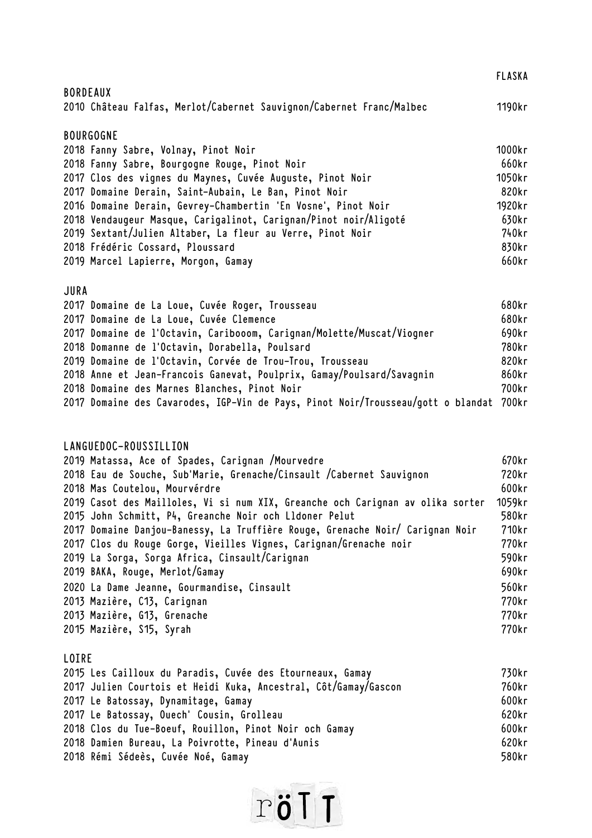|                                                                      | <b>FLASKA</b> |
|----------------------------------------------------------------------|---------------|
| <b>BORDEAUX</b>                                                      |               |
| 2010 Château Falfas, Merlot/Cabernet Sauvignon/Cabernet Franc/Malbec | 1190kr        |
| <b>BOURGOGNE</b>                                                     |               |
| 2018 Fanny Sabre, Volnay, Pinot Noir                                 | 1000kr        |
| 2018 Fanny Sabre, Bourgogne Rouge, Pinot Noir                        | 660kr         |
| 2017 Clos des vignes du Maynes, Cuvée Auguste, Pinot Noir            | 1050kr        |
| 2017 Domaine Derain, Saint-Aubain, Le Ban, Pinot Noir                | 820kr         |
| 2016 Domaine Derain, Gevrey-Chambertin 'En Vosne', Pinot Noir        | 1920kr        |
| 2018 Vendaugeur Masque, Carigalinot, Carignan/Pinot noir/Aligoté     | 630kr         |
| 2019 Sextant/Julien Altaber, La fleur au Verre, Pinot Noir           | 740kr         |
| 2018 Frédéric Cossard, Ploussard                                     | 830kr         |
| 2019 Marcel Lapierre, Morgon, Gamay                                  | 660kr         |

## **JURA**

|  | 2017 Domaine de La Loue, Cuvée Roger, Trousseau                                        | 680kr |
|--|----------------------------------------------------------------------------------------|-------|
|  | 2017 Domaine de La Loue, Cuvée Clemence                                                | 680kr |
|  | 2017 Domaine de l'Octavin, Caribooom, Carignan/Molette/Muscat/Viogner                  | 690kr |
|  | 2018 Domanne de l'Octavin, Dorabella, Poulsard                                         | 780kr |
|  | 2019 Domaine de l'Octavin, Corvée de Trou-Trou, Trousseau                              | 820kr |
|  | 2018 Anne et Jean-Francois Ganevat, Poulprix, Gamay/Poulsard/Savagnin                  | 860kr |
|  | 2018 Domaine des Marnes Blanches, Pinot Noir                                           | 700kr |
|  | 2017 Domaine des Cavarodes, IGP-Vin de Pays, Pinot Noir/Trousseau/gott o blandat 700kr |       |

## **LANGUEDOC-ROUSSILLION**

| 2019 Matassa, Ace of Spades, Carignan /Mourvedre                               | 670kr  |
|--------------------------------------------------------------------------------|--------|
| 2018 Eau de Souche, Sub'Marie, Grenache/Cinsault /Cabernet Sauvignon           | 720kr  |
| 2018 Mas Coutelou, Mourvérdre                                                  | 600kr  |
| 2019 Casot des Mailloles, Vi si num XIX, Greanche och Carignan av olika sorter | 1059kr |
| 2015 John Schmitt, P4, Greanche Noir och Lldoner Pelut                         | 580kr  |
| 2017 Domaine Danjou-Banessy, La Truffière Rouge, Grenache Noir/ Carignan Noir  | 710kr  |
| 2017 Clos du Rouge Gorge, Vieilles Vignes, Carignan/Grenache noir              | 770kr  |
| 2019 La Sorga, Sorga Africa, Cinsault/Carignan                                 | 590kr  |
| 2019 BAKA, Rouge, Merlot/Gamay                                                 | 690kr  |
| 2020 La Dame Jeanne, Gourmandise, Cinsault                                     | 560kr  |
| 2013 Mazière, C13, Carignan                                                    | 770kr  |
| 2013 Mazière, G13, Grenache                                                    | 770kr  |
| 2015 Mazière, S15, Syrah                                                       | 770kr  |
|                                                                                |        |

## **LOIRE**

| 2015 Les Cailloux du Paradis, Cuvée des Etourneaux, Gamay       | 730kr |
|-----------------------------------------------------------------|-------|
| 2017 Julien Courtois et Heidi Kuka, Ancestral, Côt/Gamay/Gascon | 760kr |
| 2017 Le Batossay, Dynamitage, Gamay                             | 600kr |
| 2017 Le Batossay, Ouech' Cousin, Grolleau                       | 620kr |
| 2018 Clos du Tue-Boeuf, Rouillon, Pinot Noir och Gamay          | 600kr |
| 2018 Damien Bureau, La Poivrotte, Pineau d'Aunis                | 620kr |
| 2018 Rémi Sédeès, Cuvée Noé, Gamay                              | 580kr |

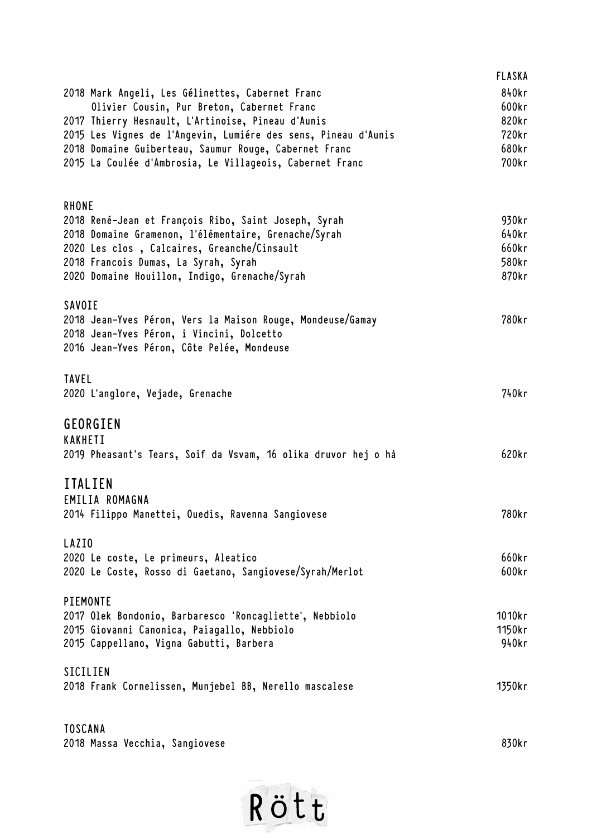|                                                                                         | <b>FLASKA</b> |
|-----------------------------------------------------------------------------------------|---------------|
| 2018 Mark Angeli, Les Gélinettes, Cabernet Franc                                        | 840kr         |
| Olivier Cousin, Pur Breton, Cabernet Franc                                              | 600kr         |
| 2017 Thierry Hesnault, L'Artinoise, Pineau d'Aunis                                      | 820kr         |
| 2015 Les Vignes de l'Angevin, Lumiére des sens, Pineau d'Aunis                          | 720kr         |
| 2018 Domaine Guiberteau, Saumur Rouge, Cabernet Franc                                   | 680kr         |
| 2015 La Coulée d'Ambrosia, Le Villageois, Cabernet Franc                                | 700kr         |
| RHONE                                                                                   |               |
| 2018 René-Jean et François Ribo, Saint Joseph, Syrah                                    | 930kr         |
| 2018 Domaine Gramenon, l'élémentaire, Grenache/Syrah                                    | 640kr         |
| 2020 Les clos, Calcaires, Greanche/Cinsault                                             | 660kr         |
| 2018 Francois Dumas, La Syrah, Syrah                                                    | 580kr         |
| 2020 Domaine Houillon, Indigo, Grenache/Syrah                                           | 870kr         |
| SAVOIE                                                                                  |               |
| 2018 Jean-Yves Péron, Vers la Maison Rouge, Mondeuse/Gamay                              | 780kr         |
| 2018 Jean-Yves Péron, i Vincini, Dolcetto<br>2016 Jean-Yves Péron, Côte Pelée, Mondeuse |               |
| <b>TAVEL</b>                                                                            |               |
| 2020 L'anglore, Vejade, Grenache                                                        | 740kr         |
| GEORGIEN                                                                                |               |
| <b>KAKHETI</b>                                                                          |               |
| 2019 Pheasant's Tears, Soif da Vsvam, 16 olika druvor hej o ha                          | 620kr         |
| <b>ITALIEN</b>                                                                          |               |
| EMILIA ROMAGNA                                                                          |               |
| 2014 Filippo Manettei, Ouedis, Ravenna Sangiovese                                       | 780kr         |
| LAZIO                                                                                   |               |
| 2020 Le coste, Le primeurs, Aleatico                                                    | 660kr         |
| 2020 Le Coste, Rosso di Gaetano, Sangiovese/Syrah/Merlot                                | 600kr         |
| PIEMONTE                                                                                | 1010kr        |
| 2017 Olek Bondonio, Barbaresco 'Roncagliette', Nebbiolo                                 | 1150kr        |
| 2015 Giovanni Canonica, Paiagallo, Nebbiolo<br>2015 Cappellano, Vigna Gabutti, Barbera  | 940kr         |
|                                                                                         |               |
| SICILIEN                                                                                |               |
| 2018 Frank Cornelissen, Munjebel BB, Nerello mascalese                                  | 1350kr        |
| <b>TOSCANA</b>                                                                          |               |

**2018 Massa Vecchia, Sangiovese 830kr**